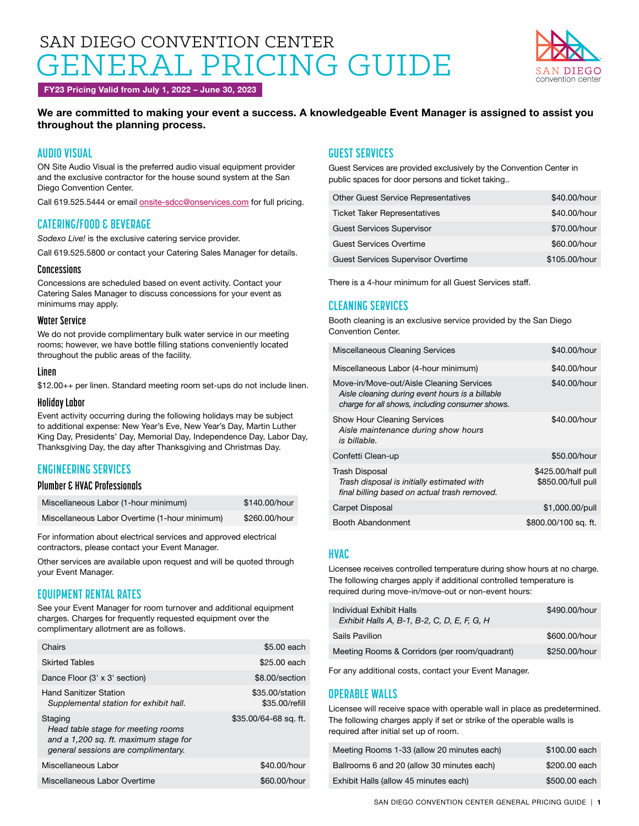# SAN DIEGO CONVENTION CENTER RAL PRICING GUIDE



FY23 Pricing Valid from July 1, 2022 – June 30, 2023

### We are committed to making your event a success. A knowledgeable Event Manager is assigned to assist you throughout the planning process.

# **AUDIO VISUAL**

ON Site Audio Visual is the preferred audio visual equipment provider and the exclusive contractor for the house sound system at the San Diego Convention Center.

Call 619.525.5444 or email [onsite-sdcc@onservices.com](mailto:onsite-sdcc%40onservices.com?subject=) for full pricing.

### **CATERING/FOOD & BEVERAGE**

*Sodexo Live!* is the exclusive catering service provider.

Call 619.525.5800 or contact your Catering Sales Manager for details.

### **Concessions**

Concessions are scheduled based on event activity. Contact your Catering Sales Manager to discuss concessions for your event as minimums may apply.

### **Water Service**

We do not provide complimentary bulk water service in our meeting rooms; however, we have bottle filling stations conveniently located throughout the public areas of the facility.

### **Linen**

\$12.00++ per linen. Standard meeting room set-ups do not include linen.

### **Holiday Labor**

Event activity occurring during the following holidays may be subject to additional expense: New Year's Eve, New Year's Day, Martin Luther King Day, Presidents' Day, Memorial Day, Independence Day, Labor Day, Thanksgiving Day, the day after Thanksgiving and Christmas Day.

# **ENGINEERING SERVICES**

### **Plumber & HVAC Professionals**

| Miscellaneous Labor (1-hour minimum)          | \$140.00/hour |
|-----------------------------------------------|---------------|
| Miscellaneous Labor Overtime (1-hour minimum) | \$260.00/hour |

For information about electrical services and approved electrical contractors, please contact your Event Manager.

Other services are available upon request and will be quoted through your Event Manager.

# **EQUIPMENT RENTAL RATES**

See your Event Manager for room turnover and additional equipment charges. Charges for frequently requested equipment over the complimentary allotment are as follows.

| Chairs                                                                                                                        | \$5,00 each                       |
|-------------------------------------------------------------------------------------------------------------------------------|-----------------------------------|
| <b>Skirted Tables</b>                                                                                                         | \$25.00 each                      |
| Dance Floor (3' x 3' section)                                                                                                 | \$8.00/section                    |
| Hand Sanitizer Station<br>Supplemental station for exhibit hall.                                                              | \$35,00/station<br>\$35.00/refill |
| Staging<br>Head table stage for meeting rooms<br>and a 1,200 sq. ft. maximum stage for<br>general sessions are complimentary. | \$35.00/64-68 sq. ft.             |
| Miscellaneous Labor                                                                                                           | \$40,00/hour                      |
| Miscellaneous Labor Overtime                                                                                                  | \$60,00/hour                      |

# **GUEST SERVICES**

Guest Services are provided exclusively by the Convention Center in public spaces for door persons and ticket taking..

| <b>Ticket Taker Representatives</b>       | \$40,00/hour  |
|-------------------------------------------|---------------|
| <b>Guest Services Supervisor</b>          | \$70,00/hour  |
| <b>Guest Services Overtime</b>            | \$60,00/hour  |
| <b>Guest Services Supervisor Overtime</b> | \$105.00/hour |

There is a 4-hour minimum for all Guest Services staff.

## **CLEANING SERVICES**

Booth cleaning is an exclusive service provided by the San Diego Convention Center.

| <b>Miscellaneous Cleaning Services</b>                                                                                                         | \$40,00/hour                             |
|------------------------------------------------------------------------------------------------------------------------------------------------|------------------------------------------|
| Miscellaneous Labor (4-hour minimum)                                                                                                           | \$40,00/hour                             |
| Move-in/Move-out/Aisle Cleaning Services<br>Aisle cleaning during event hours is a billable<br>charge for all shows, including consumer shows. | \$40,00/hour                             |
| <b>Show Hour Cleaning Services</b><br>Aisle maintenance during show hours<br>is billable.                                                      | \$40,00/hour                             |
| Confetti Clean-up                                                                                                                              | \$50,00/hour                             |
| <b>Trash Disposal</b><br>Trash disposal is initially estimated with<br>final billing based on actual trash removed.                            | \$425.00/half pull<br>\$850.00/full pull |
| Carpet Disposal                                                                                                                                | \$1,000.00/pull                          |
| Booth Abandonment                                                                                                                              | \$800.00/100 sq. ft.                     |

### **HVAC**

Licensee receives controlled temperature during show hours at no charge. The following charges apply if additional controlled temperature is required during move-in/move-out or non-event hours:

| Individual Exhibit Halls<br>Exhibit Halls A, B-1, B-2, C, D, E, F, G, H | \$490,00/hour |
|-------------------------------------------------------------------------|---------------|
| Sails Pavilion                                                          | \$600.00/hour |
| Meeting Rooms & Corridors (per room/quadrant)                           | \$250,00/hour |

For any additional costs, contact your Event Manager.

### **OPERABLE WALLS**

Licensee will receive space with operable wall in place as predetermined. The following charges apply if set or strike of the operable walls is required after initial set up of room.

| Meeting Rooms 1-33 (allow 20 minutes each) | \$100,00 each |
|--------------------------------------------|---------------|
| Ballrooms 6 and 20 (allow 30 minutes each) | \$200,00 each |
| Exhibit Halls (allow 45 minutes each)      | \$500,00 each |